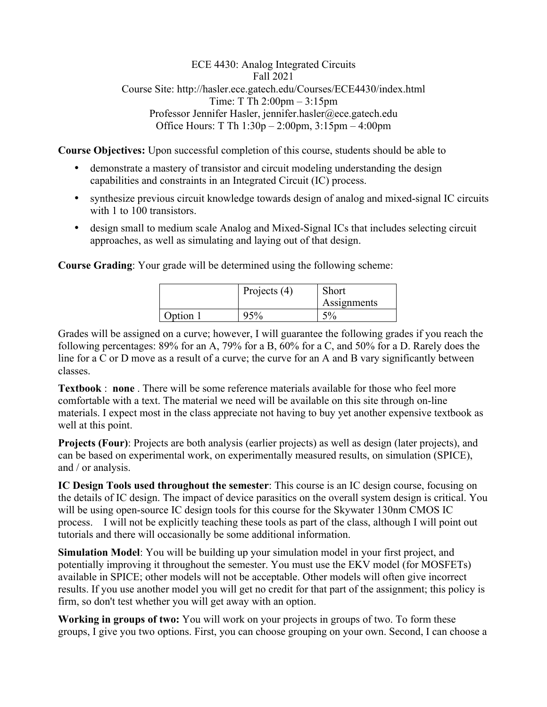## ECE 4430: Analog Integrated Circuits Fall 2021 Course Site: http://hasler.ece.gatech.edu/Courses/ECE4430/index.html Time: T Th 2:00pm – 3:15pm Professor Jennifer Hasler, jennifer.hasler@ece.gatech.edu Office Hours: T Th 1:30p – 2:00pm, 3:15pm – 4:00pm

**Course Objectives:** Upon successful completion of this course, students should be able to

- demonstrate a mastery of transistor and circuit modeling understanding the design capabilities and constraints in an Integrated Circuit (IC) process.
- synthesize previous circuit knowledge towards design of analog and mixed-signal IC circuits with 1 to 100 transistors.
- design small to medium scale Analog and Mixed-Signal ICs that includes selecting circuit approaches, as well as simulating and laying out of that design.

**Course Grading**: Your grade will be determined using the following scheme:

|          | Projects $(4)$ | Short<br>Assignments |
|----------|----------------|----------------------|
| Option 1 |                | . 0                  |

Grades will be assigned on a curve; however, I will guarantee the following grades if you reach the following percentages: 89% for an A, 79% for a B, 60% for a C, and 50% for a D. Rarely does the line for a C or D move as a result of a curve; the curve for an A and B vary significantly between classes.

**Textbook** : **none** . There will be some reference materials available for those who feel more comfortable with a text. The material we need will be available on this site through on-line materials. I expect most in the class appreciate not having to buy yet another expensive textbook as well at this point.

**Projects (Four)**: Projects are both analysis (earlier projects) as well as design (later projects), and can be based on experimental work, on experimentally measured results, on simulation (SPICE), and / or analysis.

**IC Design Tools used throughout the semester**: This course is an IC design course, focusing on the details of IC design. The impact of device parasitics on the overall system design is critical. You will be using open-source IC design tools for this course for the Skywater 130nm CMOS IC process. I will not be explicitly teaching these tools as part of the class, although I will point out tutorials and there will occasionally be some additional information.

**Simulation Model**: You will be building up your simulation model in your first project, and potentially improving it throughout the semester. You must use the EKV model (for MOSFETs) available in SPICE; other models will not be acceptable. Other models will often give incorrect results. If you use another model you will get no credit for that part of the assignment; this policy is firm, so don't test whether you will get away with an option.

**Working in groups of two:** You will work on your projects in groups of two. To form these groups, I give you two options. First, you can choose grouping on your own. Second, I can choose a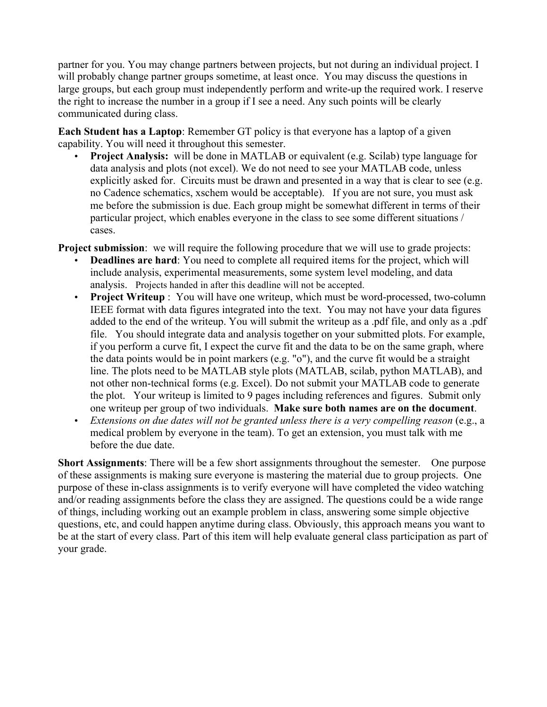partner for you. You may change partners between projects, but not during an individual project. I will probably change partner groups sometime, at least once. You may discuss the questions in large groups, but each group must independently perform and write-up the required work. I reserve the right to increase the number in a group if I see a need. Any such points will be clearly communicated during class.

**Each Student has a Laptop**: Remember GT policy is that everyone has a laptop of a given capability. You will need it throughout this semester.

• **Project Analysis:** will be done in MATLAB or equivalent (e.g. Scilab) type language for data analysis and plots (not excel). We do not need to see your MATLAB code, unless explicitly asked for. Circuits must be drawn and presented in a way that is clear to see (e.g. no Cadence schematics, xschem would be acceptable). If you are not sure, you must ask me before the submission is due. Each group might be somewhat different in terms of their particular project, which enables everyone in the class to see some different situations / cases.

**Project submission**: we will require the following procedure that we will use to grade projects:

- **Deadlines are hard**: You need to complete all required items for the project, which will include analysis, experimental measurements, some system level modeling, and data analysis. Projects handed in after this deadline will not be accepted.
- **Project Writeup** : You will have one writeup, which must be word-processed, two-column IEEE format with data figures integrated into the text. You may not have your data figures added to the end of the writeup. You will submit the writeup as a .pdf file, and only as a .pdf file. You should integrate data and analysis together on your submitted plots. For example, if you perform a curve fit, I expect the curve fit and the data to be on the same graph, where the data points would be in point markers (e.g. "o"), and the curve fit would be a straight line. The plots need to be MATLAB style plots (MATLAB, scilab, python MATLAB), and not other non-technical forms (e.g. Excel). Do not submit your MATLAB code to generate the plot. Your writeup is limited to 9 pages including references and figures. Submit only one writeup per group of two individuals. **Make sure both names are on the document**.
- *Extensions on due dates will not be granted unless there is a very compelling reason* (e.g., a medical problem by everyone in the team). To get an extension, you must talk with me before the due date.

**Short Assignments**: There will be a few short assignments throughout the semester. One purpose of these assignments is making sure everyone is mastering the material due to group projects. One purpose of these in-class assignments is to verify everyone will have completed the video watching and/or reading assignments before the class they are assigned. The questions could be a wide range of things, including working out an example problem in class, answering some simple objective questions, etc, and could happen anytime during class. Obviously, this approach means you want to be at the start of every class. Part of this item will help evaluate general class participation as part of your grade.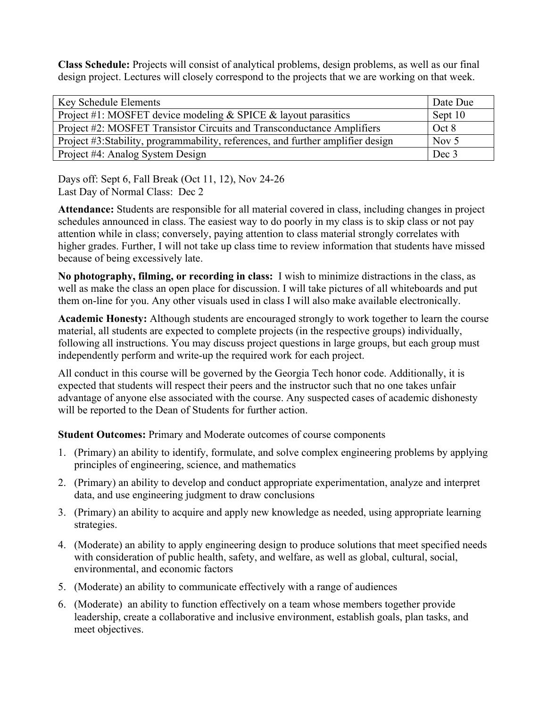**Class Schedule:** Projects will consist of analytical problems, design problems, as well as our final design project. Lectures will closely correspond to the projects that we are working on that week.

| <b>Key Schedule Elements</b>                                                    | Date Due |
|---------------------------------------------------------------------------------|----------|
| Project #1: MOSFET device modeling $&$ SPICE $&$ layout parasitics              | Sept 10  |
| Project #2: MOSFET Transistor Circuits and Transconductance Amplifiers          | Oct 8    |
| Project #3:Stability, programmability, references, and further amplifier design | Nov $5$  |
| Project #4: Analog System Design                                                | Dec 3    |

Days off: Sept 6, Fall Break (Oct 11, 12), Nov 24-26 Last Day of Normal Class: Dec 2

**Attendance:** Students are responsible for all material covered in class, including changes in project schedules announced in class. The easiest way to do poorly in my class is to skip class or not pay attention while in class; conversely, paying attention to class material strongly correlates with higher grades. Further, I will not take up class time to review information that students have missed because of being excessively late.

**No photography, filming, or recording in class:** I wish to minimize distractions in the class, as well as make the class an open place for discussion. I will take pictures of all whiteboards and put them on-line for you. Any other visuals used in class I will also make available electronically.

**Academic Honesty:** Although students are encouraged strongly to work together to learn the course material, all students are expected to complete projects (in the respective groups) individually, following all instructions. You may discuss project questions in large groups, but each group must independently perform and write-up the required work for each project.

All conduct in this course will be governed by the Georgia Tech honor code. Additionally, it is expected that students will respect their peers and the instructor such that no one takes unfair advantage of anyone else associated with the course. Any suspected cases of academic dishonesty will be reported to the Dean of Students for further action.

**Student Outcomes:** Primary and Moderate outcomes of course components

- 1. (Primary) an ability to identify, formulate, and solve complex engineering problems by applying principles of engineering, science, and mathematics
- 2. (Primary) an ability to develop and conduct appropriate experimentation, analyze and interpret data, and use engineering judgment to draw conclusions
- 3. (Primary) an ability to acquire and apply new knowledge as needed, using appropriate learning strategies.
- 4. (Moderate) an ability to apply engineering design to produce solutions that meet specified needs with consideration of public health, safety, and welfare, as well as global, cultural, social, environmental, and economic factors
- 5. (Moderate) an ability to communicate effectively with a range of audiences
- 6. (Moderate) an ability to function effectively on a team whose members together provide leadership, create a collaborative and inclusive environment, establish goals, plan tasks, and meet objectives.